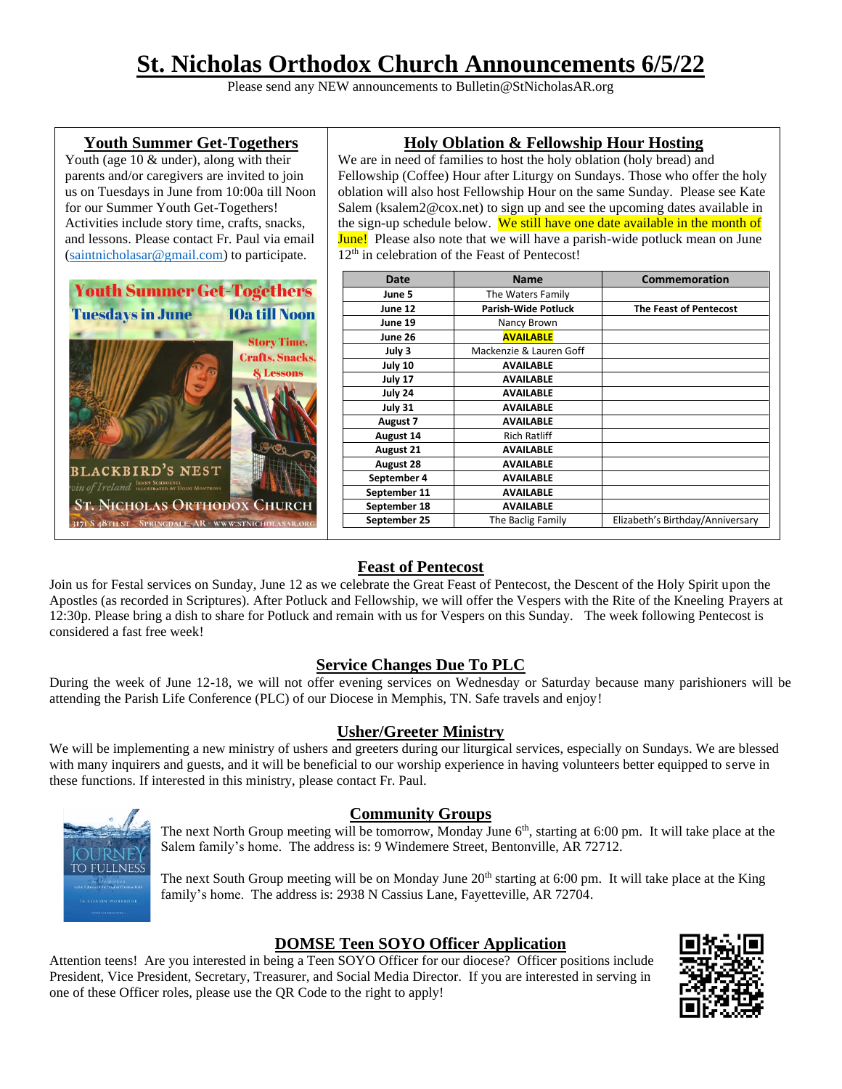# **St. Nicholas Orthodox Church Announcements 6/5/22**

Please send any NEW announcements to Bulletin@StNicholasAR.org

#### **Youth Summer Get-Togethers**

Youth (age 10 & under), along with their parents and/or caregivers are invited to join us on Tuesdays in June from 10:00a till Noon for our Summer Youth Get-Togethers! Activities include story time, crafts, snacks, and lessons. Please contact Fr. Paul via email [\(saintnicholasar@gmail.com\)](mailto:saintnicholasar@gmail.com) to participate.



## **Holy Oblation & Fellowship Hour Hosting**

We are in need of families to host the holy oblation (holy bread) and Fellowship (Coffee) Hour after Liturgy on Sundays. Those who offer the holy oblation will also host Fellowship Hour on the same Sunday. Please see Kate Salem (ksalem2@cox.net) to sign up and see the upcoming dates available in the sign-up schedule below. We still have one date available in the month of **June!** Please also note that we will have a parish-wide potluck mean on June 12<sup>th</sup> in celebration of the Feast of Pentecost!

| Date             | <b>Name</b>                | <b>Commemoration</b>             |
|------------------|----------------------------|----------------------------------|
| June 5           | The Waters Family          |                                  |
| June 12          | <b>Parish-Wide Potluck</b> | <b>The Feast of Pentecost</b>    |
| June 19          | Nancy Brown                |                                  |
| June 26          | <b>AVAILABLE</b>           |                                  |
| July 3           | Mackenzie & Lauren Goff    |                                  |
| July 10          | <b>AVAILABLE</b>           |                                  |
| July 17          | <b>AVAILABLE</b>           |                                  |
| July 24          | <b>AVAILABLE</b>           |                                  |
| July 31          | <b>AVAILABLE</b>           |                                  |
| August 7         | <b>AVAILABLE</b>           |                                  |
| August 14        | <b>Rich Ratliff</b>        |                                  |
| August 21        | <b>AVAILABLE</b>           |                                  |
| <b>August 28</b> | <b>AVAILABLE</b>           |                                  |
| September 4      | <b>AVAILABLE</b>           |                                  |
| September 11     | <b>AVAILABLE</b>           |                                  |
| September 18     | <b>AVAILABLE</b>           |                                  |
| September 25     | The Baclig Family          | Elizabeth's Birthday/Anniversary |

## **Feast of Pentecost**

Join us for Festal services on Sunday, June 12 as we celebrate the Great Feast of Pentecost, the Descent of the Holy Spirit upon the Apostles (as recorded in Scriptures). After Potluck and Fellowship, we will offer the Vespers with the Rite of the Kneeling Prayers at 12:30p. Please bring a dish to share for Potluck and remain with us for Vespers on this Sunday. The week following Pentecost is considered a fast free week!

## **Service Changes Due To PLC**

During the week of June 12-18, we will not offer evening services on Wednesday or Saturday because many parishioners will be attending the Parish Life Conference (PLC) of our Diocese in Memphis, TN. Safe travels and enjoy!

## **Usher/Greeter Ministry**

We will be implementing a new ministry of ushers and greeters during our liturgical services, especially on Sundays. We are blessed with many inquirers and guests, and it will be beneficial to our worship experience in having volunteers better equipped to serve in these functions. If interested in this ministry, please contact Fr. Paul.



#### **Community Groups**

The next North Group meeting will be tomorrow, Monday June  $6<sup>th</sup>$ , starting at 6:00 pm. It will take place at the Salem family's home. The address is: 9 Windemere Street, Bentonville, AR 72712.

The next South Group meeting will be on Monday June 20<sup>th</sup> starting at 6:00 pm. It will take place at the King family's home. The address is: 2938 N Cassius Lane, Fayetteville, AR 72704.

## **DOMSE Teen SOYO Officer Application**

Attention teens! Are you interested in being a Teen SOYO Officer for our diocese? Officer positions include President, Vice President, Secretary, Treasurer, and Social Media Director. If you are interested in serving in one of these Officer roles, please use the QR Code to the right to apply!